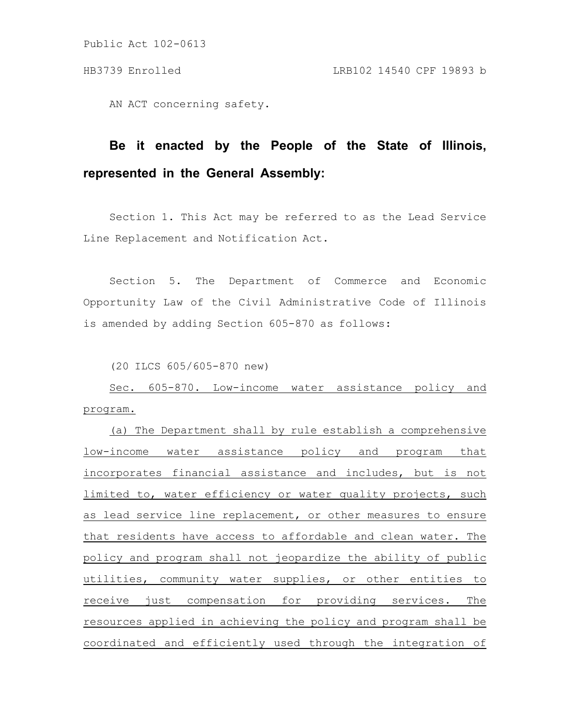AN ACT concerning safety.

# **Be it enacted by the People of the State of Illinois, represented in the General Assembly:**

Section 1. This Act may be referred to as the Lead Service Line Replacement and Notification Act.

Section 5. The Department of Commerce and Economic Opportunity Law of the Civil Administrative Code of Illinois is amended by adding Section 605-870 as follows:

(20 ILCS 605/605-870 new)

Sec. 605-870. Low-income water assistance policy and program.

(a) The Department shall by rule establish a comprehensive low-income water assistance policy and program that incorporates financial assistance and includes, but is not limited to, water efficiency or water quality projects, such as lead service line replacement, or other measures to ensure that residents have access to affordable and clean water. The policy and program shall not jeopardize the ability of public utilities, community water supplies, or other entities to receive just compensation for providing services. The resources applied in achieving the policy and program shall be coordinated and efficiently used through the integration of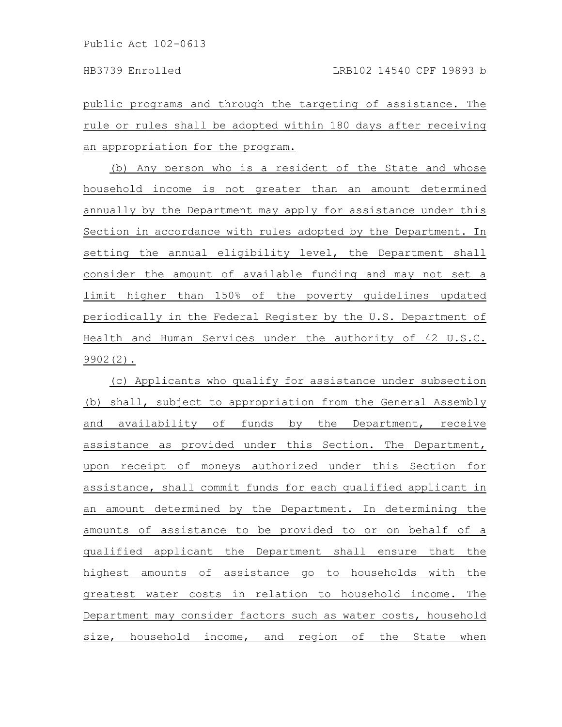public programs and through the targeting of assistance. The rule or rules shall be adopted within 180 days after receiving an appropriation for the program.

(b) Any person who is a resident of the State and whose household income is not greater than an amount determined annually by the Department may apply for assistance under this Section in accordance with rules adopted by the Department. In setting the annual eligibility level, the Department shall consider the amount of available funding and may not set a limit higher than 150% of the poverty guidelines updated periodically in the Federal Register by the U.S. Department of Health and Human Services under the authority of 42 U.S.C. 9902(2).

(c) Applicants who qualify for assistance under subsection (b) shall, subject to appropriation from the General Assembly and availability of funds by the Department, receive assistance as provided under this Section. The Department, upon receipt of moneys authorized under this Section for assistance, shall commit funds for each qualified applicant in an amount determined by the Department. In determining the amounts of assistance to be provided to or on behalf of a qualified applicant the Department shall ensure that the highest amounts of assistance go to households with the greatest water costs in relation to household income. The Department may consider factors such as water costs, household size, household income, and region of the State when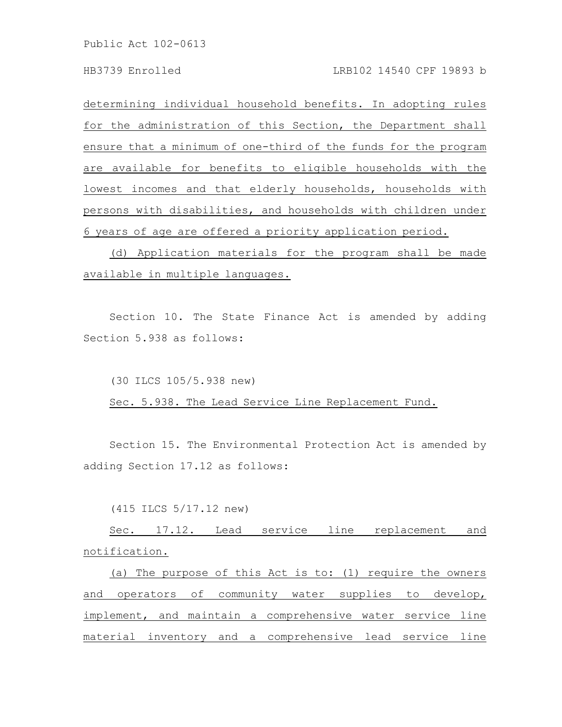### HB3739 Enrolled LRB102 14540 CPF 19893 b

determining individual household benefits. In adopting rules for the administration of this Section, the Department shall ensure that a minimum of one-third of the funds for the program are available for benefits to eligible households with the lowest incomes and that elderly households, households with persons with disabilities, and households with children under 6 years of age are offered a priority application period.

(d) Application materials for the program shall be made available in multiple languages.

Section 10. The State Finance Act is amended by adding Section 5.938 as follows:

(30 ILCS 105/5.938 new)

Sec. 5.938. The Lead Service Line Replacement Fund.

Section 15. The Environmental Protection Act is amended by adding Section 17.12 as follows:

(415 ILCS 5/17.12 new)

Sec. 17.12. Lead service line replacement and notification.

(a) The purpose of this Act is to: (1) require the owners and operators of community water supplies to develop, implement, and maintain a comprehensive water service line material inventory and a comprehensive lead service line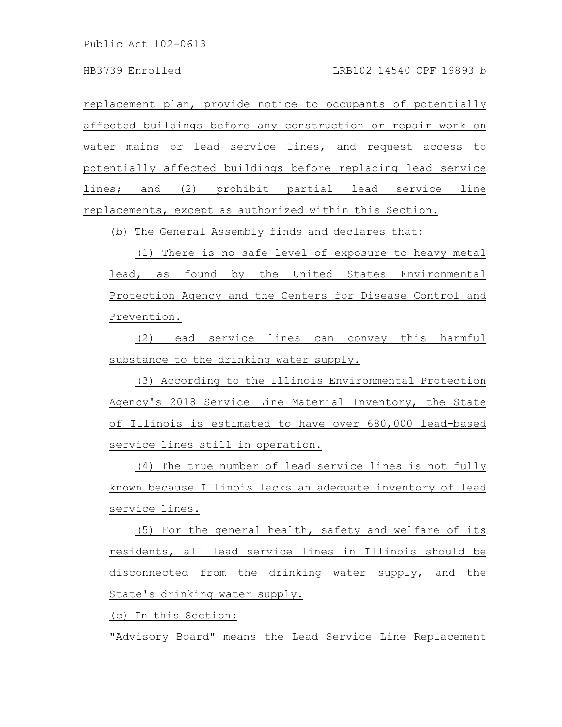replacement plan, provide notice to occupants of potentially affected buildings before any construction or repair work on water mains or lead service lines, and request access to potentially affected buildings before replacing lead service lines; and (2) prohibit partial lead service line replacements, except as authorized within this Section.

(b) The General Assembly finds and declares that:

(1) There is no safe level of exposure to heavy metal lead, as found by the United States Environmental Protection Agency and the Centers for Disease Control and Prevention.

(2) Lead service lines can convey this harmful substance to the drinking water supply.

(3) According to the Illinois Environmental Protection Agency's 2018 Service Line Material Inventory, the State of Illinois is estimated to have over 680,000 lead-based service lines still in operation.

(4) The true number of lead service lines is not fully known because Illinois lacks an adequate inventory of lead service lines.

(5) For the general health, safety and welfare of its residents, all lead service lines in Illinois should be disconnected from the drinking water supply, and the State's drinking water supply.

(c) In this Section:

"Advisory Board" means the Lead Service Line Replacement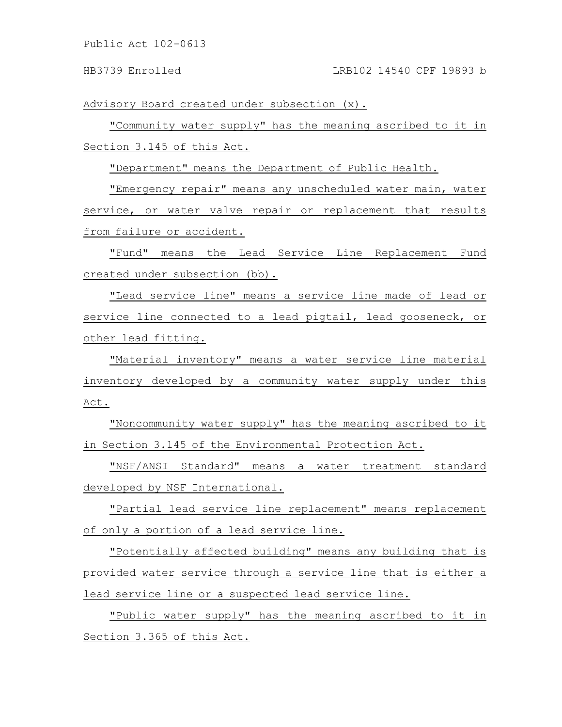### HB3739 Enrolled LRB102 14540 CPF 19893 b

Advisory Board created under subsection (x).

"Community water supply" has the meaning ascribed to it in Section 3.145 of this Act.

"Department" means the Department of Public Health.

"Emergency repair" means any unscheduled water main, water service, or water valve repair or replacement that results from failure or accident.

"Fund" means the Lead Service Line Replacement Fund created under subsection (bb).

"Lead service line" means a service line made of lead or service line connected to a lead pigtail, lead gooseneck, or other lead fitting.

"Material inventory" means a water service line material inventory developed by a community water supply under this Act.

"Noncommunity water supply" has the meaning ascribed to it in Section 3.145 of the Environmental Protection Act.

"NSF/ANSI Standard" means a water treatment standard developed by NSF International.

"Partial lead service line replacement" means replacement of only a portion of a lead service line.

"Potentially affected building" means any building that is provided water service through a service line that is either a lead service line or a suspected lead service line.

"Public water supply" has the meaning ascribed to it in Section 3.365 of this Act.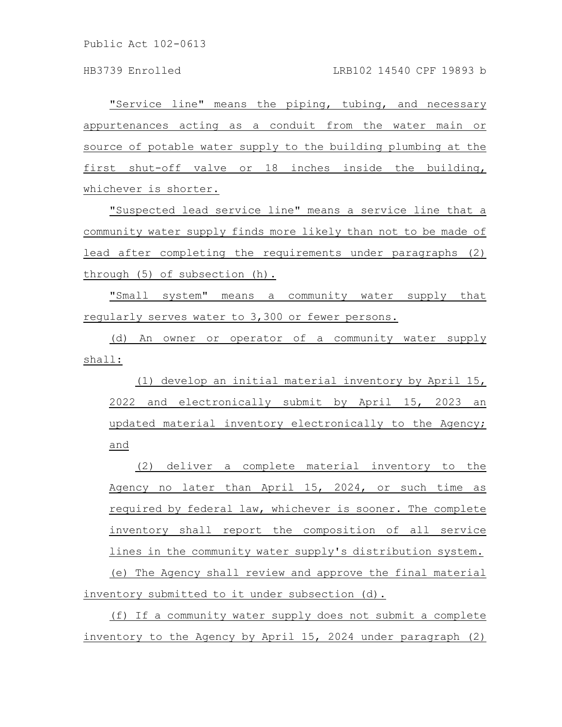"Service line" means the piping, tubing, and necessary appurtenances acting as a conduit from the water main or source of potable water supply to the building plumbing at the first shut-off valve or 18 inches inside the building, whichever is shorter.

"Suspected lead service line" means a service line that a community water supply finds more likely than not to be made of lead after completing the requirements under paragraphs (2) through (5) of subsection (h).

"Small system" means a community water supply that regularly serves water to 3,300 or fewer persons.

(d) An owner or operator of a community water supply shall:

(1) develop an initial material inventory by April 15, 2022 and electronically submit by April 15, 2023 an updated material inventory electronically to the Agency; and

(2) deliver a complete material inventory to the Agency no later than April 15, 2024, or such time as required by federal law, whichever is sooner. The complete inventory shall report the composition of all service lines in the community water supply's distribution system. (e) The Agency shall review and approve the final material inventory submitted to it under subsection (d).

(f) If a community water supply does not submit a complete inventory to the Agency by April 15, 2024 under paragraph (2)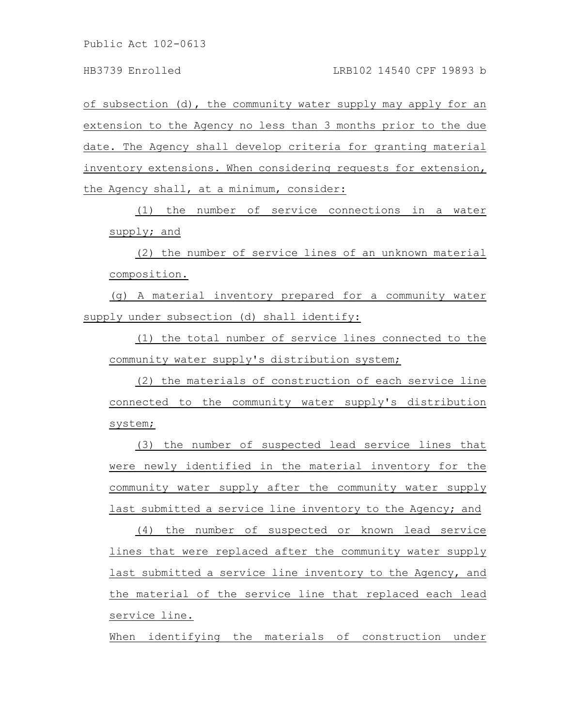of subsection (d), the community water supply may apply for an extension to the Agency no less than 3 months prior to the due date. The Agency shall develop criteria for granting material inventory extensions. When considering requests for extension, the Agency shall, at a minimum, consider:

(1) the number of service connections in a water supply; and

(2) the number of service lines of an unknown material composition.

(g) A material inventory prepared for a community water supply under subsection (d) shall identify:

(1) the total number of service lines connected to the community water supply's distribution system;

(2) the materials of construction of each service line connected to the community water supply's distribution system;

(3) the number of suspected lead service lines that were newly identified in the material inventory for the community water supply after the community water supply last submitted a service line inventory to the Agency; and

(4) the number of suspected or known lead service lines that were replaced after the community water supply last submitted a service line inventory to the Agency, and the material of the service line that replaced each lead service line.

When identifying the materials of construction under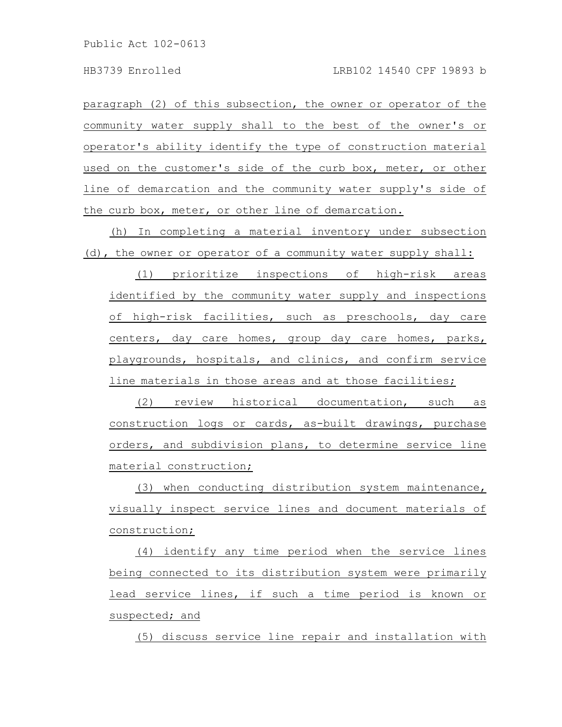paragraph (2) of this subsection, the owner or operator of the community water supply shall to the best of the owner's or operator's ability identify the type of construction material used on the customer's side of the curb box, meter, or other line of demarcation and the community water supply's side of the curb box, meter, or other line of demarcation.

(h) In completing a material inventory under subsection (d), the owner or operator of a community water supply shall:

(1) prioritize inspections of high-risk areas identified by the community water supply and inspections of high-risk facilities, such as preschools, day care centers, day care homes, group day care homes, parks, playgrounds, hospitals, and clinics, and confirm service line materials in those areas and at those facilities;

(2) review historical documentation, such as construction logs or cards, as-built drawings, purchase orders, and subdivision plans, to determine service line material construction;

(3) when conducting distribution system maintenance, visually inspect service lines and document materials of construction;

(4) identify any time period when the service lines being connected to its distribution system were primarily lead service lines, if such a time period is known or suspected; and

(5) discuss service line repair and installation with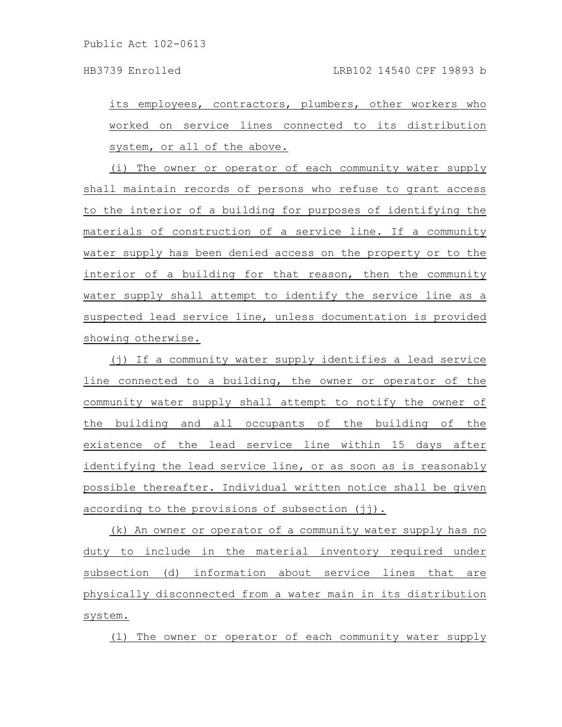HB3739 Enrolled LRB102 14540 CPF 19893 b

its employees, contractors, plumbers, other workers who worked on service lines connected to its distribution system, or all of the above.

(i) The owner or operator of each community water supply shall maintain records of persons who refuse to grant access to the interior of a building for purposes of identifying the materials of construction of a service line. If a community water supply has been denied access on the property or to the interior of a building for that reason, then the community water supply shall attempt to identify the service line as a suspected lead service line, unless documentation is provided showing otherwise.

(j) If a community water supply identifies a lead service line connected to a building, the owner or operator of the community water supply shall attempt to notify the owner of the building and all occupants of the building of the existence of the lead service line within 15 days after identifying the lead service line, or as soon as is reasonably possible thereafter. Individual written notice shall be given according to the provisions of subsection (jj).

(k) An owner or operator of a community water supply has no duty to include in the material inventory required under subsection (d) information about service lines that are physically disconnected from a water main in its distribution system.

(l) The owner or operator of each community water supply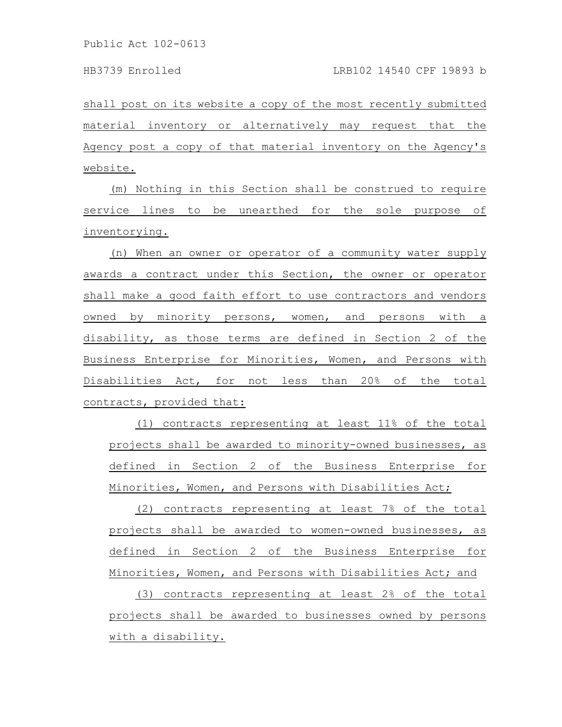shall post on its website a copy of the most recently submitted material inventory or alternatively may request that the Agency post a copy of that material inventory on the Agency's website.

(m) Nothing in this Section shall be construed to require service lines to be unearthed for the sole purpose of inventorying.

(n) When an owner or operator of a community water supply awards a contract under this Section, the owner or operator shall make a good faith effort to use contractors and vendors owned by minority persons, women, and persons with a disability, as those terms are defined in Section 2 of the Business Enterprise for Minorities, Women, and Persons with Disabilities Act, for not less than 20% of the total contracts, provided that:

(1) contracts representing at least 11% of the total projects shall be awarded to minority-owned businesses, as defined in Section 2 of the Business Enterprise for Minorities, Women, and Persons with Disabilities Act;

(2) contracts representing at least 7% of the total projects shall be awarded to women-owned businesses, as defined in Section 2 of the Business Enterprise for Minorities, Women, and Persons with Disabilities Act; and

(3) contracts representing at least 2% of the total projects shall be awarded to businesses owned by persons with a disability.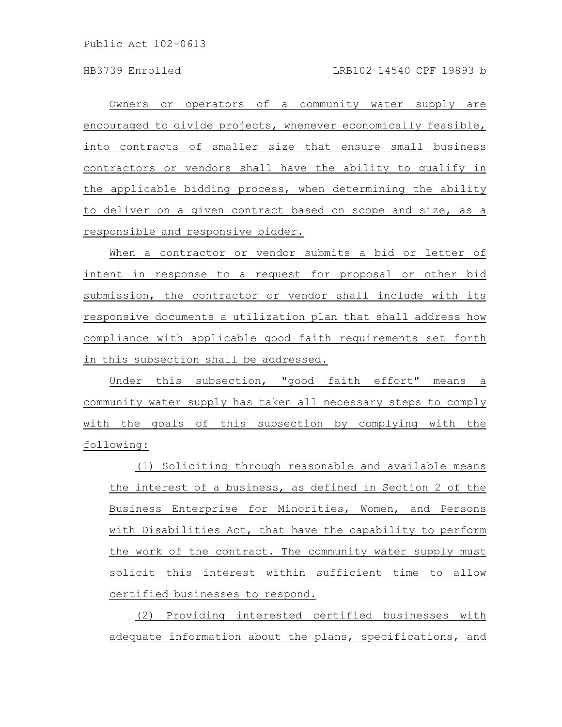Owners or operators of a community water supply are encouraged to divide projects, whenever economically feasible, into contracts of smaller size that ensure small business contractors or vendors shall have the ability to qualify in the applicable bidding process, when determining the ability to deliver on a given contract based on scope and size, as a responsible and responsive bidder.

When a contractor or vendor submits a bid or letter of intent in response to a request for proposal or other bid submission, the contractor or vendor shall include with its responsive documents a utilization plan that shall address how compliance with applicable good faith requirements set forth in this subsection shall be addressed.

Under this subsection, "good faith effort" means a community water supply has taken all necessary steps to comply with the goals of this subsection by complying with the following:

(1) Soliciting through reasonable and available means the interest of a business, as defined in Section 2 of the Business Enterprise for Minorities, Women, and Persons with Disabilities Act, that have the capability to perform the work of the contract. The community water supply must solicit this interest within sufficient time to allow certified businesses to respond.

(2) Providing interested certified businesses with adequate information about the plans, specifications, and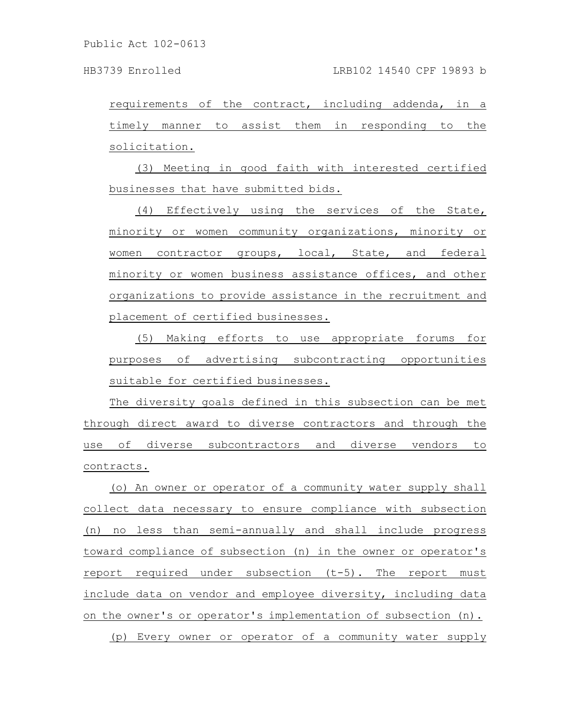requirements of the contract, including addenda, in a timely manner to assist them in responding to the solicitation.

(3) Meeting in good faith with interested certified businesses that have submitted bids.

(4) Effectively using the services of the State, minority or women community organizations, minority or women contractor groups, local, State, and federal minority or women business assistance offices, and other organizations to provide assistance in the recruitment and placement of certified businesses.

(5) Making efforts to use appropriate forums for purposes of advertising subcontracting opportunities suitable for certified businesses.

The diversity goals defined in this subsection can be met through direct award to diverse contractors and through the use of diverse subcontractors and diverse vendors to contracts.

(o) An owner or operator of a community water supply shall collect data necessary to ensure compliance with subsection (n) no less than semi-annually and shall include progress toward compliance of subsection (n) in the owner or operator's report required under subsection (t-5). The report must include data on vendor and employee diversity, including data on the owner's or operator's implementation of subsection (n). (p) Every owner or operator of a community water supply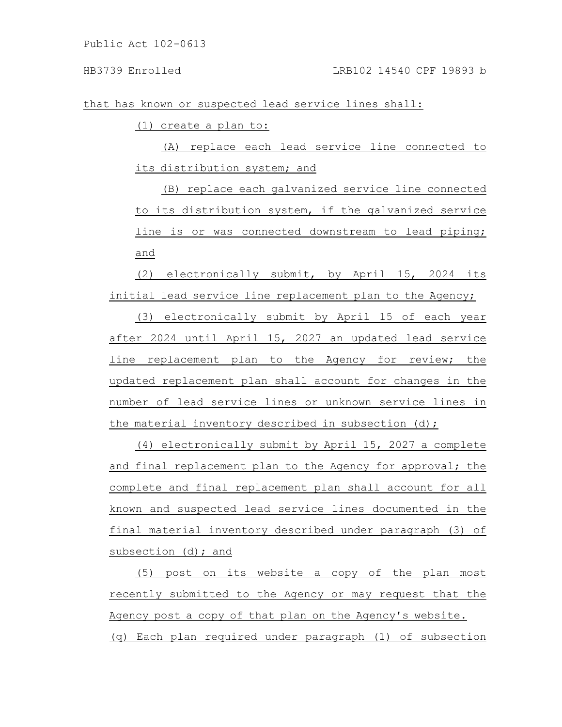## HB3739 Enrolled LRB102 14540 CPF 19893 b

that has known or suspected lead service lines shall:

(1) create a plan to:

(A) replace each lead service line connected to its distribution system; and

(B) replace each galvanized service line connected to its distribution system, if the galvanized service line is or was connected downstream to lead piping; and

(2) electronically submit, by April 15, 2024 its initial lead service line replacement plan to the Agency;

(3) electronically submit by April 15 of each year after 2024 until April 15, 2027 an updated lead service line replacement plan to the Agency for review; the updated replacement plan shall account for changes in the number of lead service lines or unknown service lines in the material inventory described in subsection (d);

(4) electronically submit by April 15, 2027 a complete and final replacement plan to the Agency for approval; the complete and final replacement plan shall account for all known and suspected lead service lines documented in the final material inventory described under paragraph (3) of subsection (d); and

(5) post on its website a copy of the plan most recently submitted to the Agency or may request that the Agency post a copy of that plan on the Agency's website. (q) Each plan required under paragraph (1) of subsection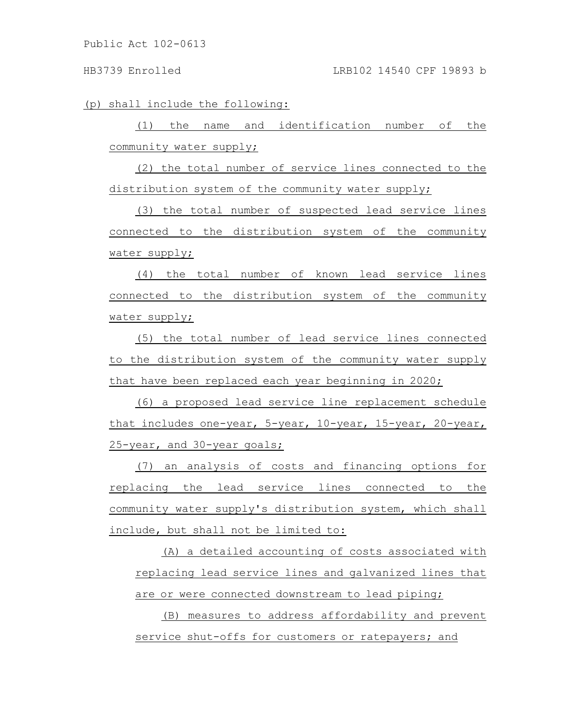### HB3739 Enrolled LRB102 14540 CPF 19893 b

(p) shall include the following:

(1) the name and identification number of the community water supply;

(2) the total number of service lines connected to the distribution system of the community water supply;

(3) the total number of suspected lead service lines connected to the distribution system of the community water supply;

(4) the total number of known lead service lines connected to the distribution system of the community water supply;

(5) the total number of lead service lines connected to the distribution system of the community water supply that have been replaced each year beginning in 2020;

(6) a proposed lead service line replacement schedule that includes one-year, 5-year, 10-year, 15-year, 20-year, 25-year, and 30-year goals;

(7) an analysis of costs and financing options for replacing the lead service lines connected to the community water supply's distribution system, which shall include, but shall not be limited to:

(A) a detailed accounting of costs associated with replacing lead service lines and galvanized lines that are or were connected downstream to lead piping;

(B) measures to address affordability and prevent service shut-offs for customers or ratepayers; and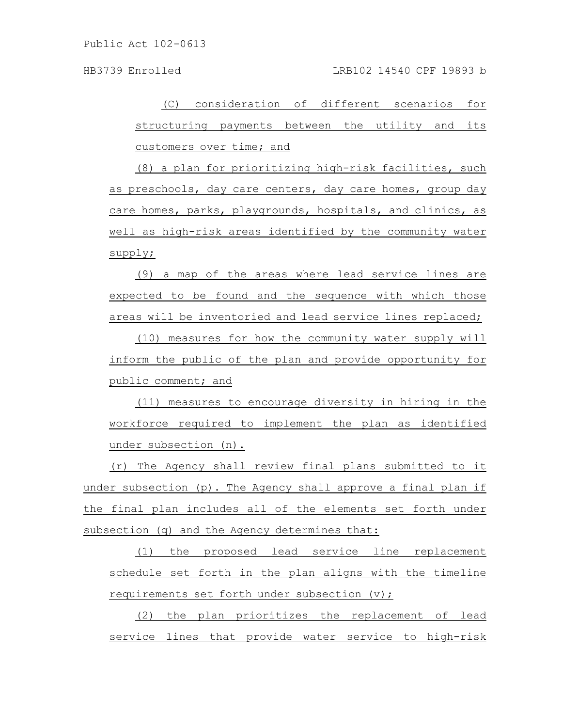HB3739 Enrolled LRB102 14540 CPF 19893 b

(C) consideration of different scenarios for structuring payments between the utility and its customers over time; and

(8) a plan for prioritizing high-risk facilities, such as preschools, day care centers, day care homes, group day care homes, parks, playgrounds, hospitals, and clinics, as well as high-risk areas identified by the community water supply;

(9) a map of the areas where lead service lines are expected to be found and the sequence with which those areas will be inventoried and lead service lines replaced;

(10) measures for how the community water supply will inform the public of the plan and provide opportunity for public comment; and

(11) measures to encourage diversity in hiring in the workforce required to implement the plan as identified under subsection (n).

(r) The Agency shall review final plans submitted to it under subsection (p). The Agency shall approve a final plan if the final plan includes all of the elements set forth under subsection (q) and the Agency determines that:

(1) the proposed lead service line replacement schedule set forth in the plan aligns with the timeline requirements set forth under subsection (v);

(2) the plan prioritizes the replacement of lead service lines that provide water service to high-risk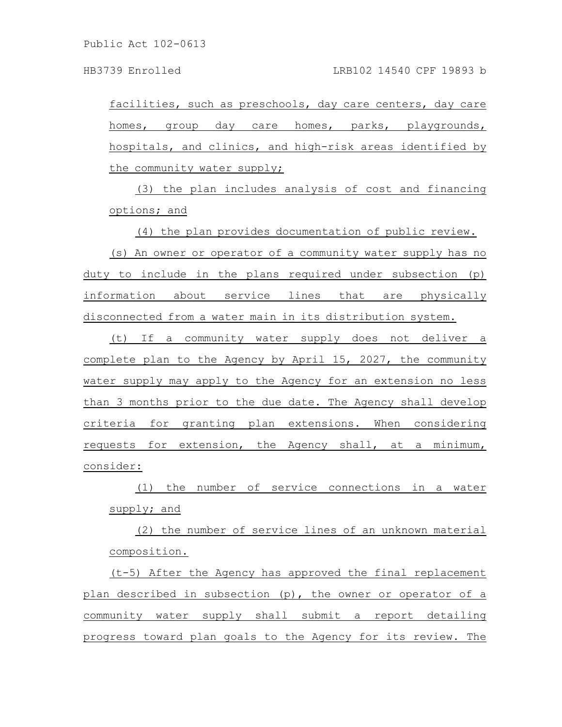facilities, such as preschools, day care centers, day care homes, group day care homes, parks, playgrounds, hospitals, and clinics, and high-risk areas identified by the community water supply;

(3) the plan includes analysis of cost and financing options; and

(4) the plan provides documentation of public review.

(s) An owner or operator of a community water supply has no duty to include in the plans required under subsection (p) information about service lines that are physically disconnected from a water main in its distribution system.

(t) If a community water supply does not deliver a complete plan to the Agency by April 15, 2027, the community water supply may apply to the Agency for an extension no less than 3 months prior to the due date. The Agency shall develop criteria for granting plan extensions. When considering requests for extension, the Agency shall, at a minimum, consider:

(1) the number of service connections in a water supply; and

(2) the number of service lines of an unknown material composition.

(t-5) After the Agency has approved the final replacement plan described in subsection (p), the owner or operator of a community water supply shall submit a report detailing progress toward plan goals to the Agency for its review. The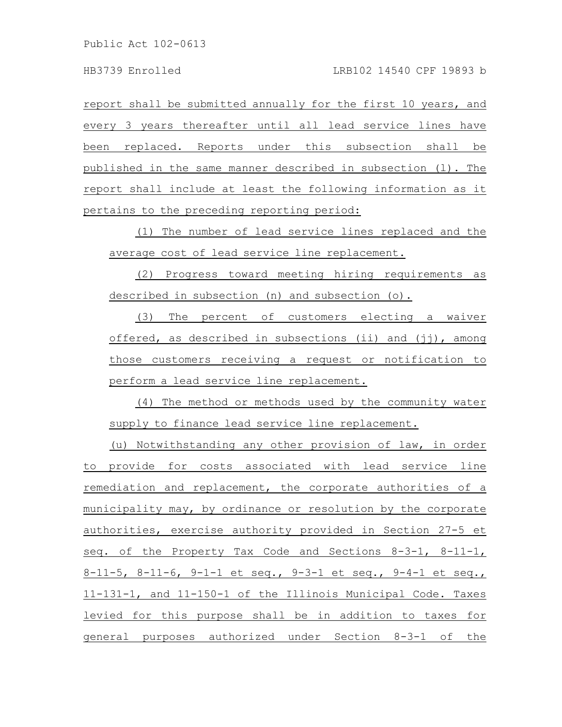report shall be submitted annually for the first 10 years, and every 3 years thereafter until all lead service lines have been replaced. Reports under this subsection shall be published in the same manner described in subsection (l). The report shall include at least the following information as it pertains to the preceding reporting period:

(1) The number of lead service lines replaced and the average cost of lead service line replacement.

(2) Progress toward meeting hiring requirements as described in subsection (n) and subsection (o).

(3) The percent of customers electing a waiver offered, as described in subsections (ii) and (jj), among those customers receiving a request or notification to perform a lead service line replacement.

(4) The method or methods used by the community water supply to finance lead service line replacement.

(u) Notwithstanding any other provision of law, in order to provide for costs associated with lead service line remediation and replacement, the corporate authorities of a municipality may, by ordinance or resolution by the corporate authorities, exercise authority provided in Section 27-5 et seq. of the Property Tax Code and Sections 8-3-1, 8-11-1, 8-11-5, 8-11-6, 9-1-1 et seq., 9-3-1 et seq., 9-4-1 et seq., 11-131-1, and 11-150-1 of the Illinois Municipal Code. Taxes levied for this purpose shall be in addition to taxes for general purposes authorized under Section 8-3-1 of the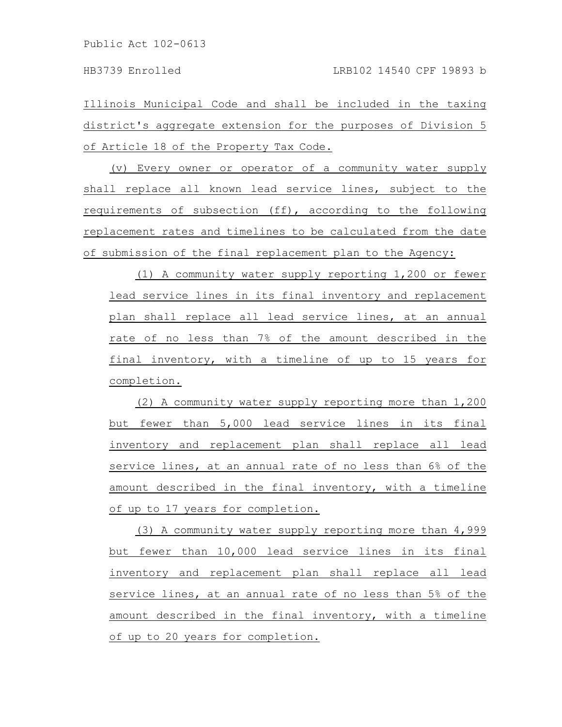Illinois Municipal Code and shall be included in the taxing district's aggregate extension for the purposes of Division 5 of Article 18 of the Property Tax Code.

(v) Every owner or operator of a community water supply shall replace all known lead service lines, subject to the requirements of subsection (ff), according to the following replacement rates and timelines to be calculated from the date of submission of the final replacement plan to the Agency:

(1) A community water supply reporting 1,200 or fewer lead service lines in its final inventory and replacement plan shall replace all lead service lines, at an annual rate of no less than 7% of the amount described in the final inventory, with a timeline of up to 15 years for completion.

(2) A community water supply reporting more than 1,200 but fewer than 5,000 lead service lines in its final inventory and replacement plan shall replace all lead service lines, at an annual rate of no less than 6% of the amount described in the final inventory, with a timeline of up to 17 years for completion.

(3) A community water supply reporting more than 4,999 but fewer than 10,000 lead service lines in its final inventory and replacement plan shall replace all lead service lines, at an annual rate of no less than 5% of the amount described in the final inventory, with a timeline of up to 20 years for completion.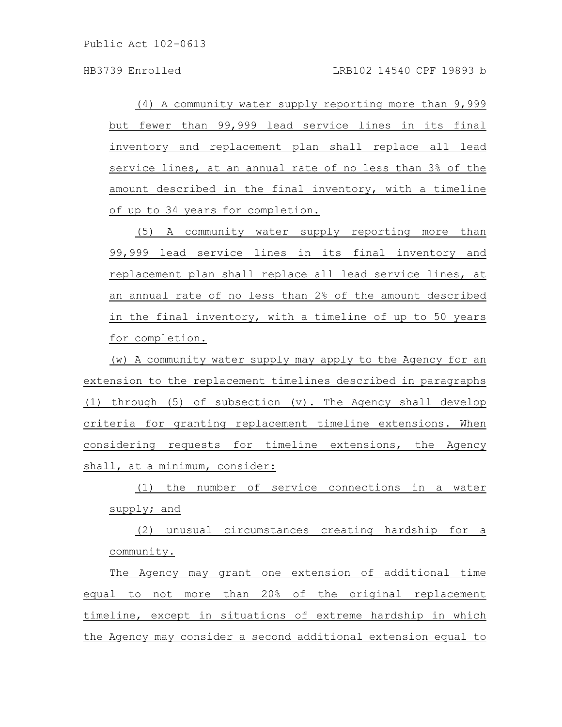(4) A community water supply reporting more than 9,999 but fewer than 99,999 lead service lines in its final inventory and replacement plan shall replace all lead service lines, at an annual rate of no less than 3% of the amount described in the final inventory, with a timeline of up to 34 years for completion.

(5) A community water supply reporting more than 99,999 lead service lines in its final inventory and replacement plan shall replace all lead service lines, at an annual rate of no less than 2% of the amount described in the final inventory, with a timeline of up to 50 years for completion.

(w) A community water supply may apply to the Agency for an extension to the replacement timelines described in paragraphs (1) through (5) of subsection (v). The Agency shall develop criteria for granting replacement timeline extensions. When considering requests for timeline extensions, the Agency shall, at a minimum, consider:

(1) the number of service connections in a water supply; and

(2) unusual circumstances creating hardship for a community.

The Agency may grant one extension of additional time equal to not more than 20% of the original replacement timeline, except in situations of extreme hardship in which the Agency may consider a second additional extension equal to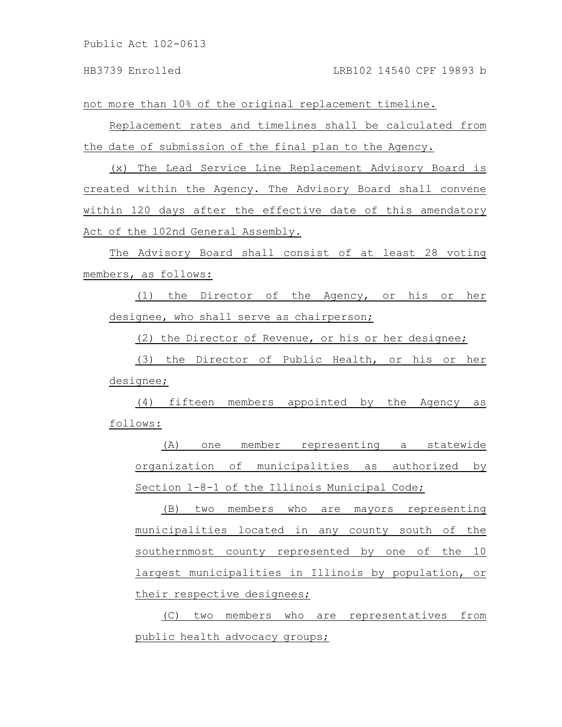not more than 10% of the original replacement timeline.

Replacement rates and timelines shall be calculated from the date of submission of the final plan to the Agency.

(x) The Lead Service Line Replacement Advisory Board is created within the Agency. The Advisory Board shall convene within 120 days after the effective date of this amendatory Act of the 102nd General Assembly.

The Advisory Board shall consist of at least 28 voting members, as follows:

(1) the Director of the Agency, or his or her designee, who shall serve as chairperson;

(2) the Director of Revenue, or his or her designee;

(3) the Director of Public Health, or his or her designee;

(4) fifteen members appointed by the Agency as follows:

(A) one member representing a statewide organization of municipalities as authorized by Section 1-8-1 of the Illinois Municipal Code;

(B) two members who are mayors representing municipalities located in any county south of the southernmost county represented by one of the 10 largest municipalities in Illinois by population, or their respective designees;

(C) two members who are representatives from public health advocacy groups;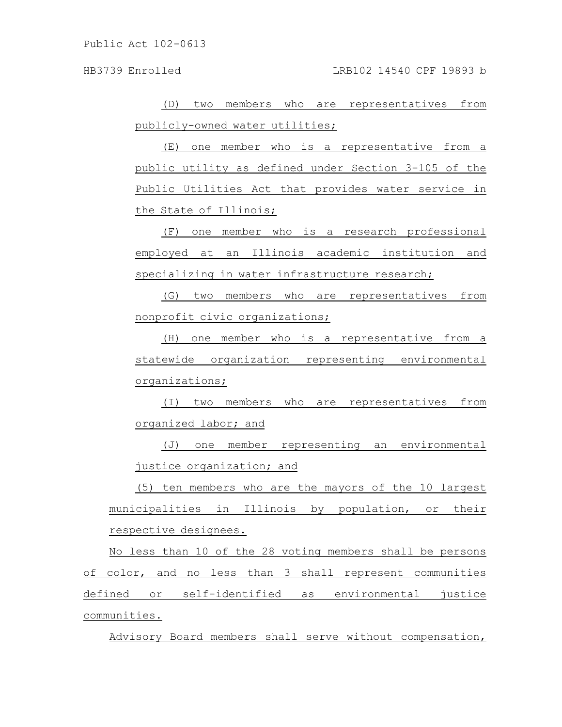(D) two members who are representatives from publicly-owned water utilities;

(E) one member who is a representative from a public utility as defined under Section 3-105 of the Public Utilities Act that provides water service in the State of Illinois;

(F) one member who is a research professional employed at an Illinois academic institution and specializing in water infrastructure research;

(G) two members who are representatives from nonprofit civic organizations;

(H) one member who is a representative from a statewide organization representing environmental organizations;

(I) two members who are representatives from organized labor; and

(J) one member representing an environmental justice organization; and

(5) ten members who are the mayors of the 10 largest municipalities in Illinois by population, or their respective designees.

No less than 10 of the 28 voting members shall be persons of color, and no less than 3 shall represent communities defined or self-identified as environmental justice communities.

Advisory Board members shall serve without compensation,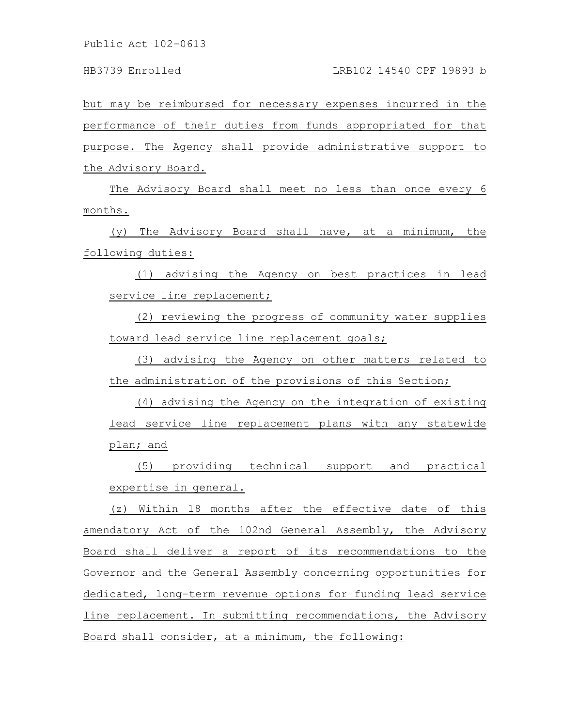but may be reimbursed for necessary expenses incurred in the performance of their duties from funds appropriated for that purpose. The Agency shall provide administrative support to the Advisory Board.

The Advisory Board shall meet no less than once every 6 months.

(y) The Advisory Board shall have, at a minimum, the following duties:

(1) advising the Agency on best practices in lead service line replacement;

(2) reviewing the progress of community water supplies toward lead service line replacement goals;

(3) advising the Agency on other matters related to the administration of the provisions of this Section;

(4) advising the Agency on the integration of existing lead service line replacement plans with any statewide plan; and

(5) providing technical support and practical expertise in general.

(z) Within 18 months after the effective date of this amendatory Act of the 102nd General Assembly, the Advisory Board shall deliver a report of its recommendations to the Governor and the General Assembly concerning opportunities for dedicated, long-term revenue options for funding lead service line replacement. In submitting recommendations, the Advisory Board shall consider, at a minimum, the following: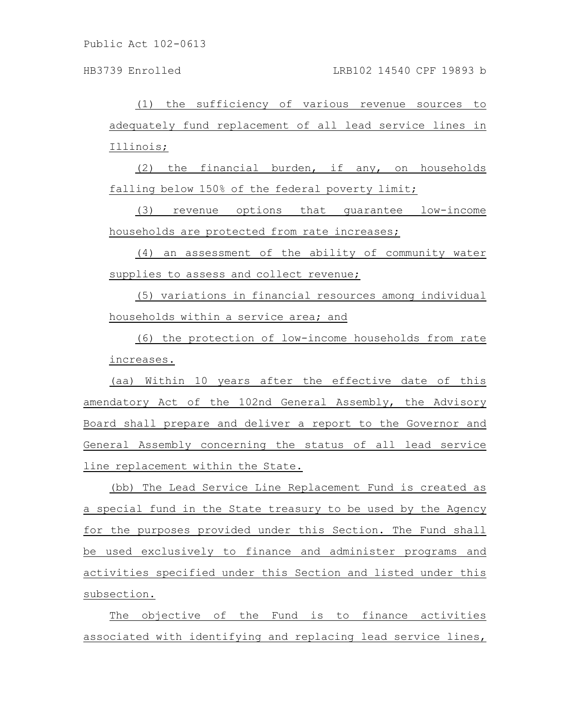HB3739 Enrolled LRB102 14540 CPF 19893 b

(1) the sufficiency of various revenue sources to adequately fund replacement of all lead service lines in Illinois;

(2) the financial burden, if any, on households falling below 150% of the federal poverty limit;

(3) revenue options that guarantee low-income households are protected from rate increases;

(4) an assessment of the ability of community water supplies to assess and collect revenue;

(5) variations in financial resources among individual households within a service area; and

(6) the protection of low-income households from rate increases.

(aa) Within 10 years after the effective date of this amendatory Act of the 102nd General Assembly, the Advisory Board shall prepare and deliver a report to the Governor and General Assembly concerning the status of all lead service line replacement within the State.

(bb) The Lead Service Line Replacement Fund is created as a special fund in the State treasury to be used by the Agency for the purposes provided under this Section. The Fund shall be used exclusively to finance and administer programs and activities specified under this Section and listed under this subsection.

The objective of the Fund is to finance activities associated with identifying and replacing lead service lines,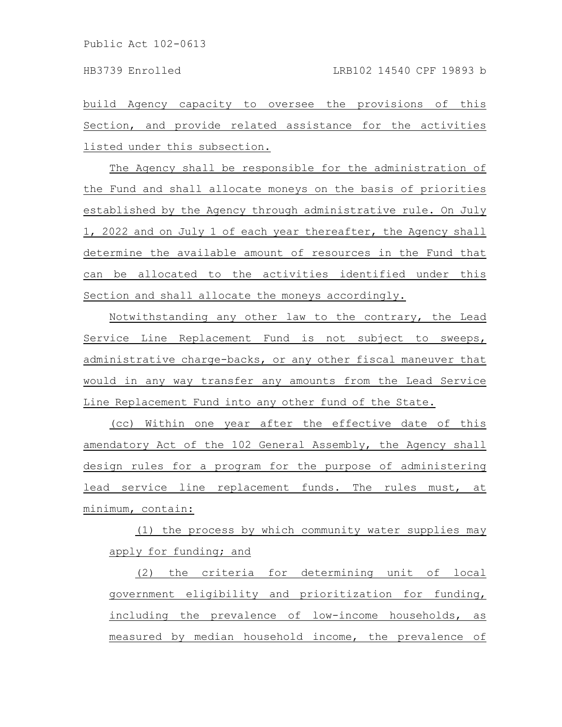build Agency capacity to oversee the provisions of this Section, and provide related assistance for the activities listed under this subsection.

The Agency shall be responsible for the administration of the Fund and shall allocate moneys on the basis of priorities established by the Agency through administrative rule. On July 1, 2022 and on July 1 of each year thereafter, the Agency shall determine the available amount of resources in the Fund that can be allocated to the activities identified under this Section and shall allocate the moneys accordingly.

Notwithstanding any other law to the contrary, the Lead Service Line Replacement Fund is not subject to sweeps, administrative charge-backs, or any other fiscal maneuver that would in any way transfer any amounts from the Lead Service Line Replacement Fund into any other fund of the State.

(cc) Within one year after the effective date of this amendatory Act of the 102 General Assembly, the Agency shall design rules for a program for the purpose of administering lead service line replacement funds. The rules must, at minimum, contain:

(1) the process by which community water supplies may apply for funding; and

(2) the criteria for determining unit of local government eligibility and prioritization for funding, including the prevalence of low-income households, as measured by median household income, the prevalence of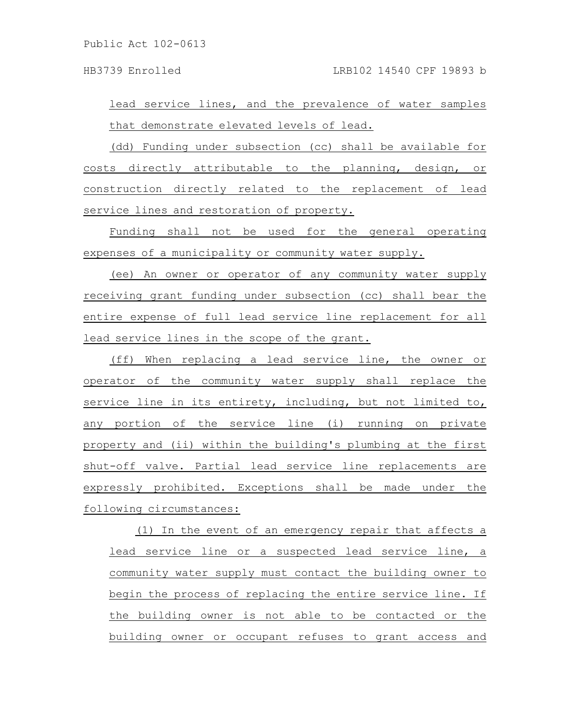HB3739 Enrolled LRB102 14540 CPF 19893 b

lead service lines, and the prevalence of water samples that demonstrate elevated levels of lead.

(dd) Funding under subsection (cc) shall be available for costs directly attributable to the planning, design, or construction directly related to the replacement of lead service lines and restoration of property.

Funding shall not be used for the general operating expenses of a municipality or community water supply.

(ee) An owner or operator of any community water supply receiving grant funding under subsection (cc) shall bear the entire expense of full lead service line replacement for all lead service lines in the scope of the grant.

(ff) When replacing a lead service line, the owner or operator of the community water supply shall replace the service line in its entirety, including, but not limited to, any portion of the service line (i) running on private property and (ii) within the building's plumbing at the first shut-off valve. Partial lead service line replacements are expressly prohibited. Exceptions shall be made under the following circumstances:

(1) In the event of an emergency repair that affects a lead service line or a suspected lead service line, a community water supply must contact the building owner to begin the process of replacing the entire service line. If the building owner is not able to be contacted or the building owner or occupant refuses to grant access and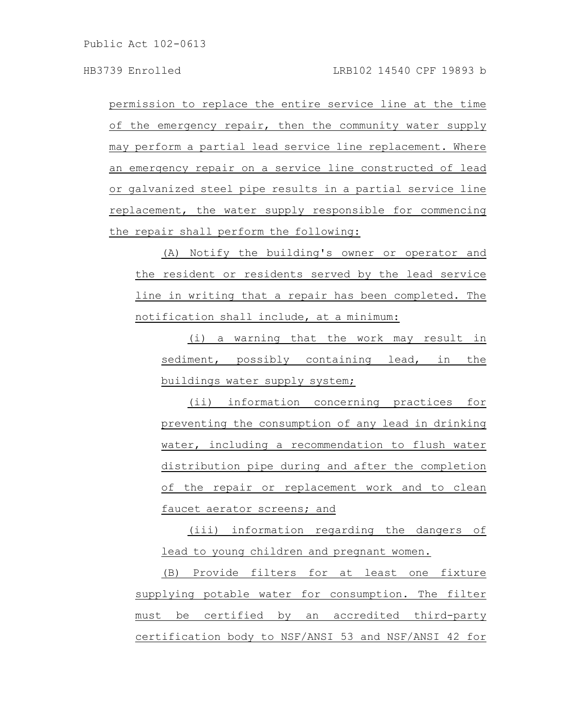permission to replace the entire service line at the time of the emergency repair, then the community water supply may perform a partial lead service line replacement. Where an emergency repair on a service line constructed of lead or galvanized steel pipe results in a partial service line replacement, the water supply responsible for commencing the repair shall perform the following:

(A) Notify the building's owner or operator and the resident or residents served by the lead service line in writing that a repair has been completed. The notification shall include, at a minimum:

(i) a warning that the work may result in sediment, possibly containing lead, in the buildings water supply system;

(ii) information concerning practices for preventing the consumption of any lead in drinking water, including a recommendation to flush water distribution pipe during and after the completion of the repair or replacement work and to clean faucet aerator screens; and

(iii) information regarding the dangers of lead to young children and pregnant women.

(B) Provide filters for at least one fixture supplying potable water for consumption. The filter must be certified by an accredited third-party certification body to NSF/ANSI 53 and NSF/ANSI 42 for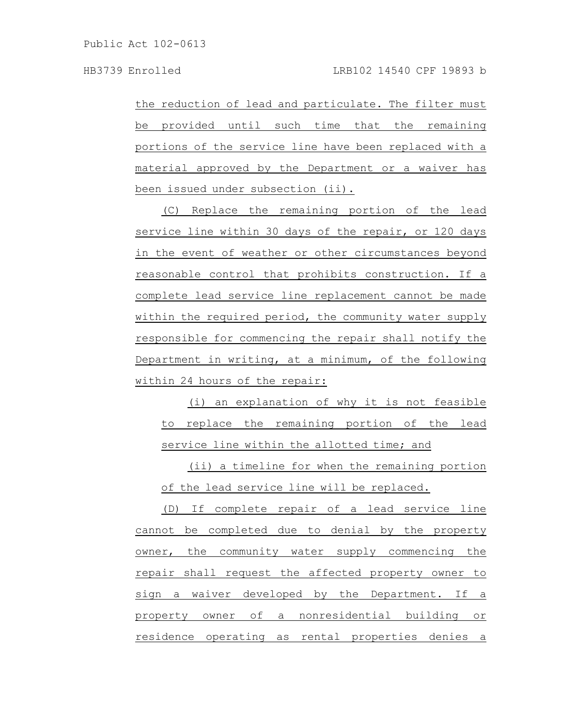the reduction of lead and particulate. The filter must be provided until such time that the remaining portions of the service line have been replaced with a material approved by the Department or a waiver has been issued under subsection (ii).

(C) Replace the remaining portion of the lead service line within 30 days of the repair, or 120 days in the event of weather or other circumstances beyond reasonable control that prohibits construction. If a complete lead service line replacement cannot be made within the required period, the community water supply responsible for commencing the repair shall notify the Department in writing, at a minimum, of the following within 24 hours of the repair:

(i) an explanation of why it is not feasible to replace the remaining portion of the lead service line within the allotted time; and

(ii) a timeline for when the remaining portion of the lead service line will be replaced.

(D) If complete repair of a lead service line cannot be completed due to denial by the property owner, the community water supply commencing the repair shall request the affected property owner to sign a waiver developed by the Department. If a property owner of a nonresidential building or residence operating as rental properties denies a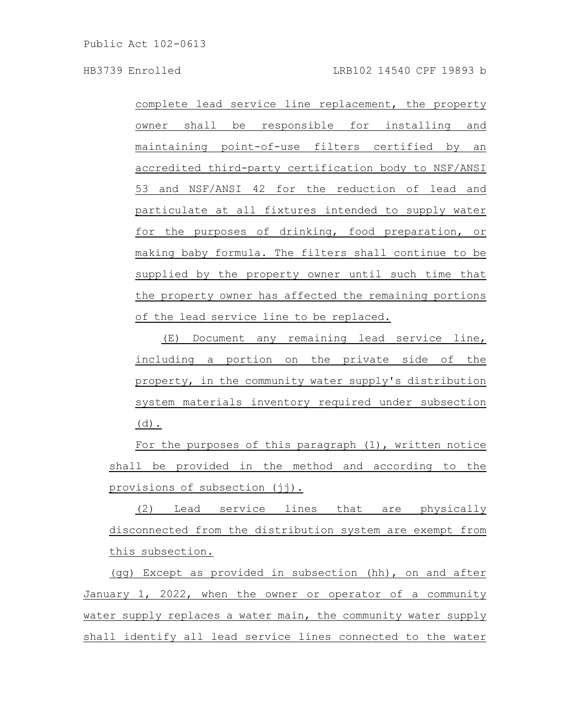complete lead service line replacement, the property owner shall be responsible for installing and maintaining point-of-use filters certified by an accredited third-party certification body to NSF/ANSI 53 and NSF/ANSI 42 for the reduction of lead and particulate at all fixtures intended to supply water for the purposes of drinking, food preparation, or making baby formula. The filters shall continue to be supplied by the property owner until such time that the property owner has affected the remaining portions of the lead service line to be replaced.

(E) Document any remaining lead service line, including a portion on the private side of the property, in the community water supply's distribution system materials inventory required under subsection (d).

For the purposes of this paragraph (1), written notice shall be provided in the method and according to the provisions of subsection (jj).

(2) Lead service lines that are physically disconnected from the distribution system are exempt from this subsection.

(gg) Except as provided in subsection (hh), on and after January 1, 2022, when the owner or operator of a community water supply replaces a water main, the community water supply shall identify all lead service lines connected to the water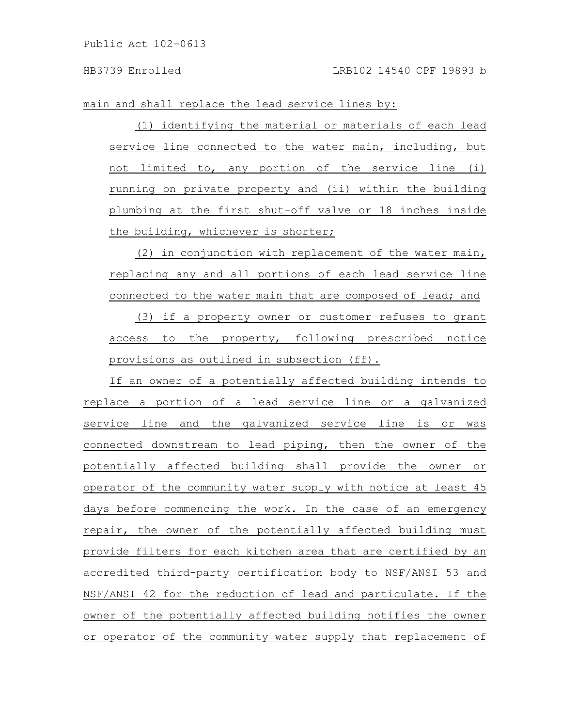main and shall replace the lead service lines by:

(1) identifying the material or materials of each lead service line connected to the water main, including, but not limited to, any portion of the service line (i) running on private property and (ii) within the building plumbing at the first shut-off valve or 18 inches inside the building, whichever is shorter;

(2) in conjunction with replacement of the water main, replacing any and all portions of each lead service line connected to the water main that are composed of lead; and

(3) if a property owner or customer refuses to grant access to the property, following prescribed notice provisions as outlined in subsection (ff).

If an owner of a potentially affected building intends to replace a portion of a lead service line or a galvanized service line and the galvanized service line is or was connected downstream to lead piping, then the owner of the potentially affected building shall provide the owner or operator of the community water supply with notice at least 45 days before commencing the work. In the case of an emergency repair, the owner of the potentially affected building must provide filters for each kitchen area that are certified by an accredited third-party certification body to NSF/ANSI 53 and NSF/ANSI 42 for the reduction of lead and particulate. If the owner of the potentially affected building notifies the owner or operator of the community water supply that replacement of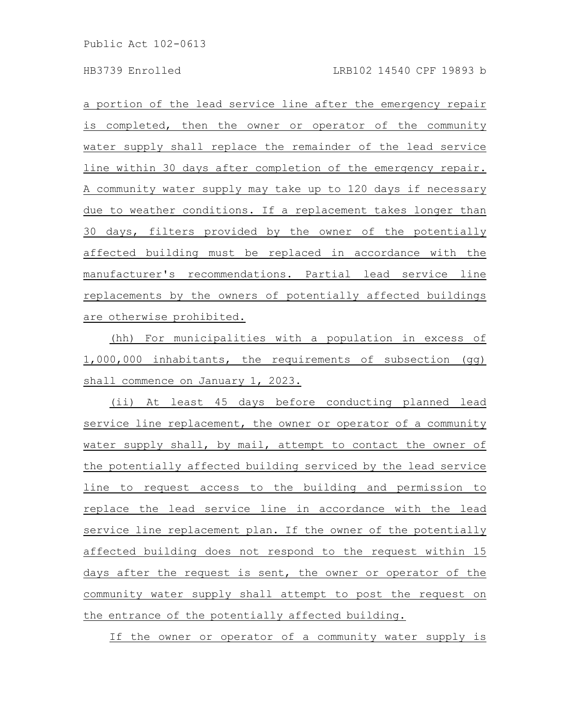a portion of the lead service line after the emergency repair is completed, then the owner or operator of the community water supply shall replace the remainder of the lead service line within 30 days after completion of the emergency repair. A community water supply may take up to 120 days if necessary due to weather conditions. If a replacement takes longer than 30 days, filters provided by the owner of the potentially affected building must be replaced in accordance with the manufacturer's recommendations. Partial lead service line replacements by the owners of potentially affected buildings are otherwise prohibited.

(hh) For municipalities with a population in excess of 1,000,000 inhabitants, the requirements of subsection (gg) shall commence on January 1, 2023.

(ii) At least 45 days before conducting planned lead service line replacement, the owner or operator of a community water supply shall, by mail, attempt to contact the owner of the potentially affected building serviced by the lead service line to request access to the building and permission to replace the lead service line in accordance with the lead service line replacement plan. If the owner of the potentially affected building does not respond to the request within 15 days after the request is sent, the owner or operator of the community water supply shall attempt to post the request on the entrance of the potentially affected building.

If the owner or operator of a community water supply is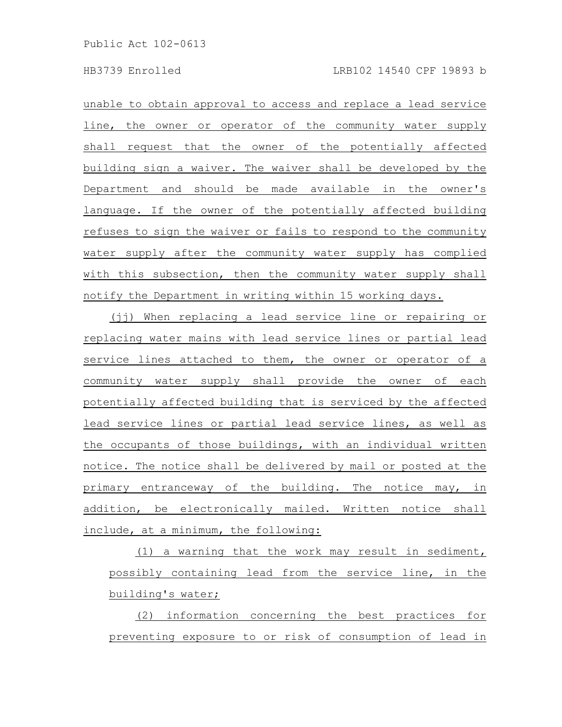unable to obtain approval to access and replace a lead service line, the owner or operator of the community water supply shall request that the owner of the potentially affected building sign a waiver. The waiver shall be developed by the Department and should be made available in the owner's language. If the owner of the potentially affected building refuses to sign the waiver or fails to respond to the community water supply after the community water supply has complied with this subsection, then the community water supply shall notify the Department in writing within 15 working days.

(jj) When replacing a lead service line or repairing or replacing water mains with lead service lines or partial lead service lines attached to them, the owner or operator of a community water supply shall provide the owner of each potentially affected building that is serviced by the affected lead service lines or partial lead service lines, as well as the occupants of those buildings, with an individual written notice. The notice shall be delivered by mail or posted at the primary entranceway of the building. The notice may, in addition, be electronically mailed. Written notice shall include, at a minimum, the following:

(1) a warning that the work may result in sediment, possibly containing lead from the service line, in the building's water;

(2) information concerning the best practices for preventing exposure to or risk of consumption of lead in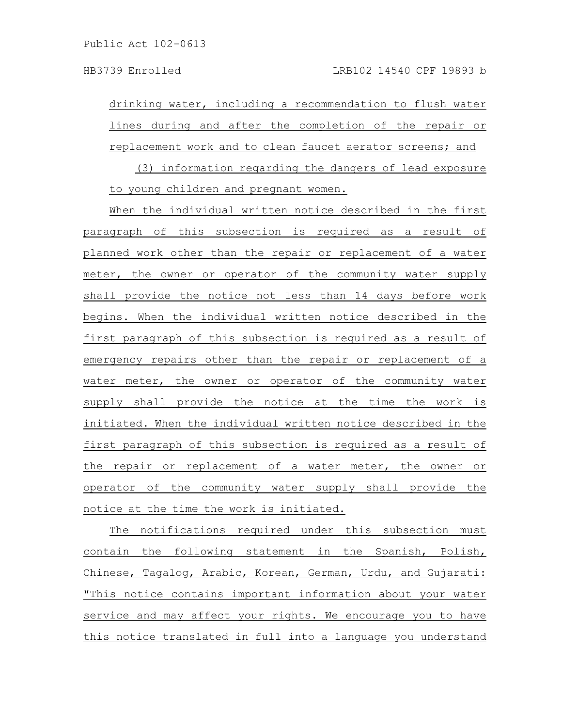drinking water, including a recommendation to flush water lines during and after the completion of the repair or replacement work and to clean faucet aerator screens; and

(3) information regarding the dangers of lead exposure to young children and pregnant women.

When the individual written notice described in the first paragraph of this subsection is required as a result of planned work other than the repair or replacement of a water meter, the owner or operator of the community water supply shall provide the notice not less than 14 days before work begins. When the individual written notice described in the first paragraph of this subsection is required as a result of emergency repairs other than the repair or replacement of a water meter, the owner or operator of the community water supply shall provide the notice at the time the work is initiated. When the individual written notice described in the first paragraph of this subsection is required as a result of the repair or replacement of a water meter, the owner or operator of the community water supply shall provide the notice at the time the work is initiated.

The notifications required under this subsection must contain the following statement in the Spanish, Polish, Chinese, Tagalog, Arabic, Korean, German, Urdu, and Gujarati: "This notice contains important information about your water service and may affect your rights. We encourage you to have this notice translated in full into a language you understand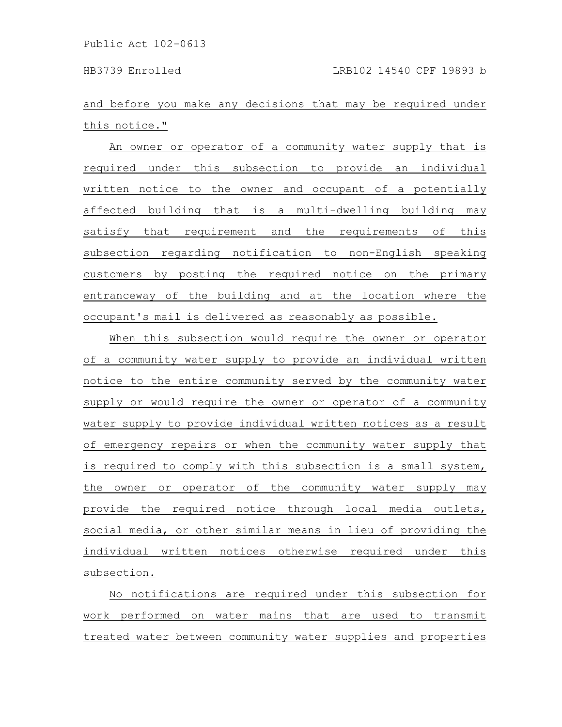and before you make any decisions that may be required under this notice."

An owner or operator of a community water supply that is required under this subsection to provide an individual written notice to the owner and occupant of a potentially affected building that is a multi-dwelling building may satisfy that requirement and the requirements of this subsection regarding notification to non-English speaking customers by posting the required notice on the primary entranceway of the building and at the location where the occupant's mail is delivered as reasonably as possible.

When this subsection would require the owner or operator of a community water supply to provide an individual written notice to the entire community served by the community water supply or would require the owner or operator of a community water supply to provide individual written notices as a result of emergency repairs or when the community water supply that is required to comply with this subsection is a small system, the owner or operator of the community water supply may provide the required notice through local media outlets, social media, or other similar means in lieu of providing the individual written notices otherwise required under this subsection.

No notifications are required under this subsection for work performed on water mains that are used to transmit treated water between community water supplies and properties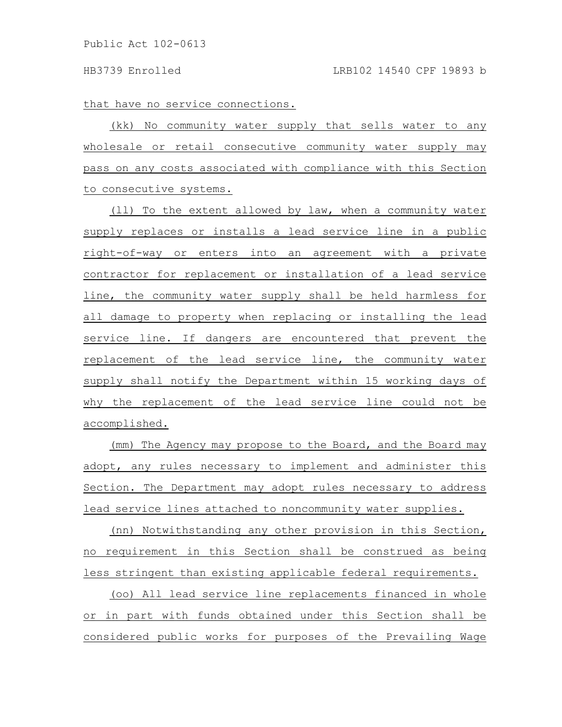that have no service connections.

(kk) No community water supply that sells water to any wholesale or retail consecutive community water supply may pass on any costs associated with compliance with this Section to consecutive systems.

(ll) To the extent allowed by law, when a community water supply replaces or installs a lead service line in a public right-of-way or enters into an agreement with a private contractor for replacement or installation of a lead service line, the community water supply shall be held harmless for all damage to property when replacing or installing the lead service line. If dangers are encountered that prevent the replacement of the lead service line, the community water supply shall notify the Department within 15 working days of why the replacement of the lead service line could not be accomplished.

(mm) The Agency may propose to the Board, and the Board may adopt, any rules necessary to implement and administer this Section. The Department may adopt rules necessary to address lead service lines attached to noncommunity water supplies.

(nn) Notwithstanding any other provision in this Section, no requirement in this Section shall be construed as being less stringent than existing applicable federal requirements.

(oo) All lead service line replacements financed in whole or in part with funds obtained under this Section shall be considered public works for purposes of the Prevailing Wage